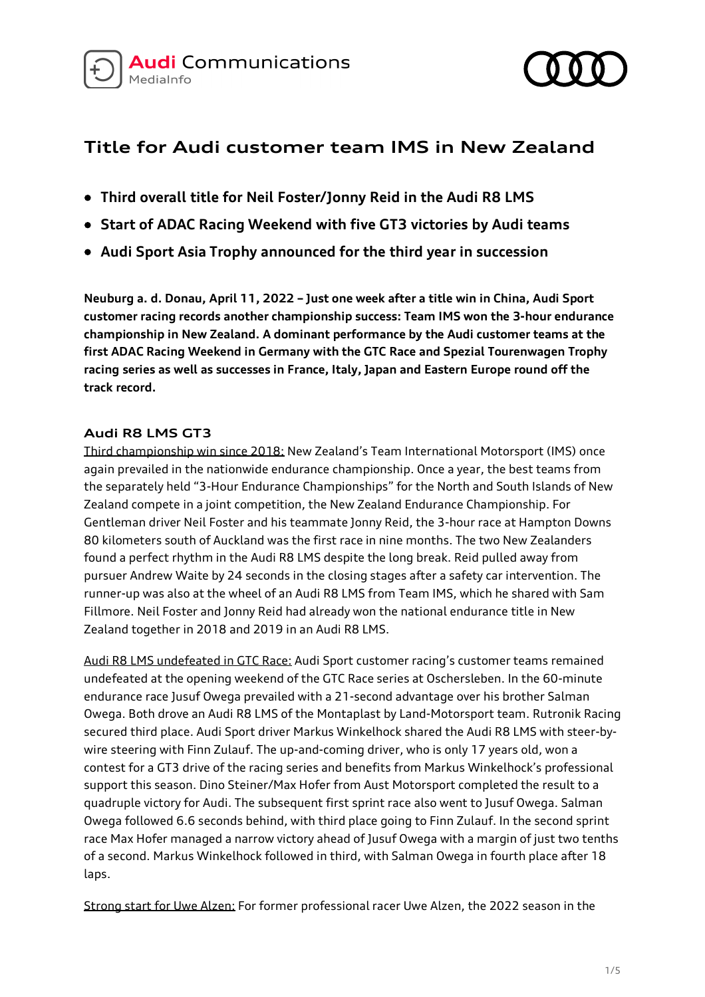



# **Title for Audi customer team IMS in New Zealand**

- **Third overall title for Neil Foster/Jonny Reid in the Audi R8 LMS**
- **Start of ADAC Racing Weekend with five GT3 victories by Audi teams**
- **Audi Sport Asia Trophy announced for the third year in succession**

**Neuburg a. d. Donau, April 11, 2022 – Just one week after a title win in China, Audi Sport customer racing records another championship success: Team IMS won the 3-hour endurance championship in New Zealand. A dominant performance by the Audi customer teams at the first ADAC Racing Weekend in Germany with the GTC Race and Spezial Tourenwagen Trophy racing series as well as successes in France, Italy, Japan and Eastern Europe round off the track record.**

# **Audi R8 LMS GT3**

Third championship win since 2018: New Zealand's Team International Motorsport (IMS) once again prevailed in the nationwide endurance championship. Once a year, the best teams from the separately held "3-Hour Endurance Championships" for the North and South Islands of New Zealand compete in a joint competition, the New Zealand Endurance Championship. For Gentleman driver Neil Foster and his teammate Jonny Reid, the 3-hour race at Hampton Downs 80 kilometers south of Auckland was the first race in nine months. The two New Zealanders found a perfect rhythm in the Audi R8 LMS despite the long break. Reid pulled away from pursuer Andrew Waite by 24 seconds in the closing stages after a safety car intervention. The runner-up was also at the wheel of an Audi R8 LMS from Team IMS, which he shared with Sam Fillmore. Neil Foster and Jonny Reid had already won the national endurance title in New Zealand together in 2018 and 2019 in an Audi R8 LMS.

Audi R8 LMS undefeated in GTC Race: Audi Sport customer racing's customer teams remained undefeated at the opening weekend of the GTC Race series at Oschersleben. In the 60-minute endurance race Jusuf Owega prevailed with a 21-second advantage over his brother Salman Owega. Both drove an Audi R8 LMS of the Montaplast by Land-Motorsport team. Rutronik Racing secured third place. Audi Sport driver Markus Winkelhock shared the Audi R8 LMS with steer-bywire steering with Finn Zulauf. The up-and-coming driver, who is only 17 years old, won a contest for a GT3 drive of the racing series and benefits from Markus Winkelhock's professional support this season. Dino Steiner/Max Hofer from Aust Motorsport completed the result to a quadruple victory for Audi. The subsequent first sprint race also went to Jusuf Owega. Salman Owega followed 6.6 seconds behind, with third place going to Finn Zulauf. In the second sprint race Max Hofer managed a narrow victory ahead of Jusuf Owega with a margin of just two tenths of a second. Markus Winkelhock followed in third, with Salman Owega in fourth place after 18 laps.

Strong start for Uwe Alzen: For former professional racer Uwe Alzen, the 2022 season in the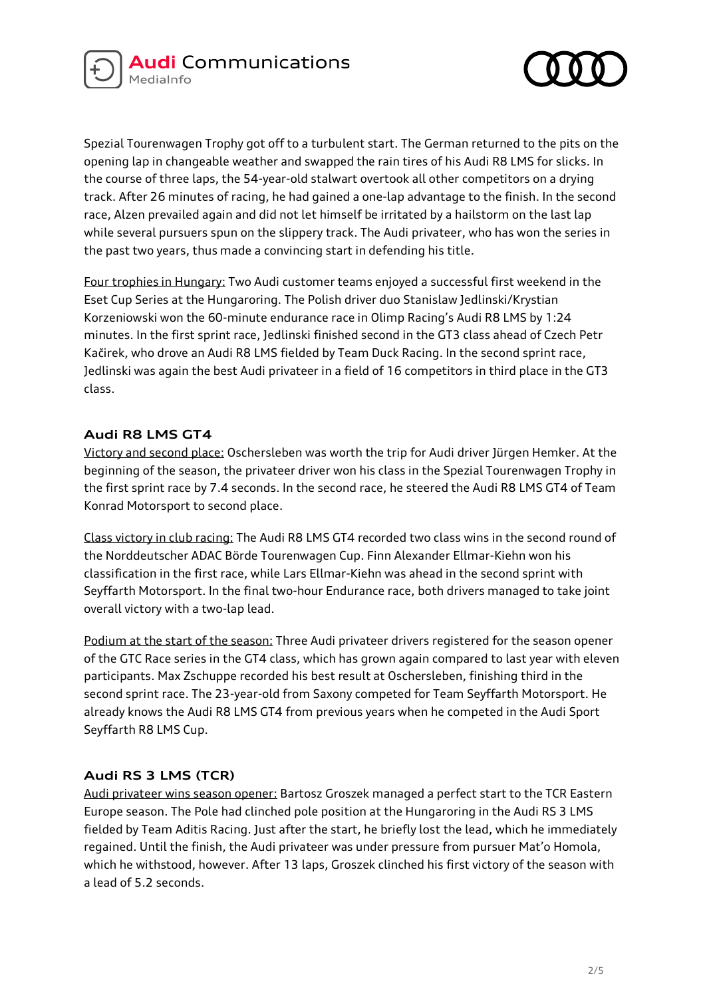



Spezial Tourenwagen Trophy got off to a turbulent start. The German returned to the pits on the opening lap in changeable weather and swapped the rain tires of his Audi R8 LMS for slicks. In the course of three laps, the 54-year-old stalwart overtook all other competitors on a drying track. After 26 minutes of racing, he had gained a one-lap advantage to the finish. In the second race, Alzen prevailed again and did not let himself be irritated by a hailstorm on the last lap while several pursuers spun on the slippery track. The Audi privateer, who has won the series in the past two years, thus made a convincing start in defending his title.

Four trophies in Hungary: Two Audi customer teams enjoyed a successful first weekend in the Eset Cup Series at the Hungaroring. The Polish driver duo Stanislaw Jedlinski/Krystian Korzeniowski won the 60-minute endurance race in Olimp Racing's Audi R8 LMS by 1:24 minutes. In the first sprint race, Jedlinski finished second in the GT3 class ahead of Czech Petr Kačirek, who drove an Audi R8 LMS fielded by Team Duck Racing. In the second sprint race, Jedlinski was again the best Audi privateer in a field of 16 competitors in third place in the GT3 class.

### **Audi R8 LMS GT4**

Victory and second place: Oschersleben was worth the trip for Audi driver Jürgen Hemker. At the beginning of the season, the privateer driver won his class in the Spezial Tourenwagen Trophy in the first sprint race by 7.4 seconds. In the second race, he steered the Audi R8 LMS GT4 of Team Konrad Motorsport to second place.

Class victory in club racing: The Audi R8 LMS GT4 recorded two class wins in the second round of the Norddeutscher ADAC Börde Tourenwagen Cup. Finn Alexander Ellmar-Kiehn won his classification in the first race, while Lars Ellmar-Kiehn was ahead in the second sprint with Seyffarth Motorsport. In the final two-hour Endurance race, both drivers managed to take joint overall victory with a two-lap lead.

Podium at the start of the season: Three Audi privateer drivers registered for the season opener of the GTC Race series in the GT4 class, which has grown again compared to last year with eleven participants. Max Zschuppe recorded his best result at Oschersleben, finishing third in the second sprint race. The 23-year-old from Saxony competed for Team Seyffarth Motorsport. He already knows the Audi R8 LMS GT4 from previous years when he competed in the Audi Sport Seyffarth R8 LMS Cup.

# **Audi RS 3 LMS (TCR)**

Audi privateer wins season opener: Bartosz Groszek managed a perfect start to the TCR Eastern Europe season. The Pole had clinched pole position at the Hungaroring in the Audi RS 3 LMS fielded by Team Aditis Racing. Just after the start, he briefly lost the lead, which he immediately regained. Until the finish, the Audi privateer was under pressure from pursuer Mat'o Homola, which he withstood, however. After 13 laps, Groszek clinched his first victory of the season with a lead of 5.2 seconds.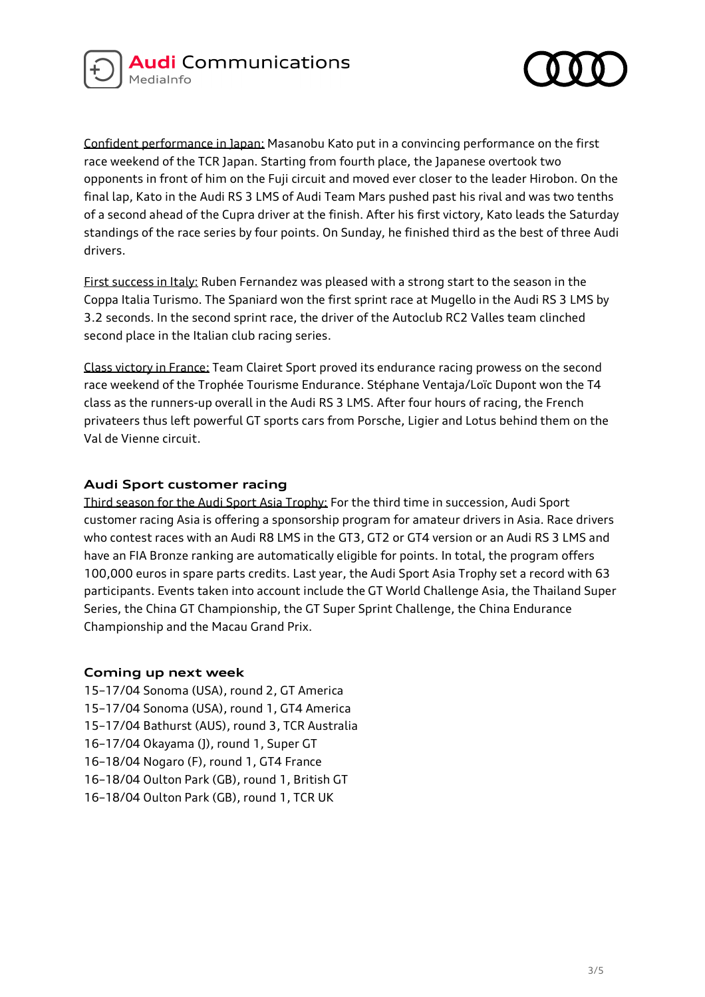



Confident performance in Japan: Masanobu Kato put in a convincing performance on the first race weekend of the TCR Japan. Starting from fourth place, the Japanese overtook two opponents in front of him on the Fuji circuit and moved ever closer to the leader Hirobon. On the final lap, Kato in the Audi RS 3 LMS of Audi Team Mars pushed past his rival and was two tenths of a second ahead of the Cupra driver at the finish. After his first victory, Kato leads the Saturday standings of the race series by four points. On Sunday, he finished third as the best of three Audi drivers.

First success in Italy: Ruben Fernandez was pleased with a strong start to the season in the Coppa Italia Turismo. The Spaniard won the first sprint race at Mugello in the Audi RS 3 LMS by 3.2 seconds. In the second sprint race, the driver of the Autoclub RC2 Valles team clinched second place in the Italian club racing series.

Class victory in France: Team Clairet Sport proved its endurance racing prowess on the second race weekend of the Trophée Tourisme Endurance. Stéphane Ventaja/Loïc Dupont won the T4 class as the runners-up overall in the Audi RS 3 LMS. After four hours of racing, the French privateers thus left powerful GT sports cars from Porsche, Ligier and Lotus behind them on the Val de Vienne circuit.

### **Audi Sport customer racing**

Third season for the Audi Sport Asia Trophy: For the third time in succession, Audi Sport customer racing Asia is offering a sponsorship program for amateur drivers in Asia. Race drivers who contest races with an Audi R8 LMS in the GT3, GT2 or GT4 version or an Audi RS 3 LMS and have an FIA Bronze ranking are automatically eligible for points. In total, the program offers 100,000 euros in spare parts credits. Last year, the Audi Sport Asia Trophy set a record with 63 participants. Events taken into account include the GT World Challenge Asia, the Thailand Super Series, the China GT Championship, the GT Super Sprint Challenge, the China Endurance Championship and the Macau Grand Prix.

#### **Coming up next week**

15–17/04 Sonoma (USA), round 2, GT America 15–17/04 Sonoma (USA), round 1, GT4 America 15–17/04 Bathurst (AUS), round 3, TCR Australia 16–17/04 Okayama (J), round 1, Super GT 16–18/04 Nogaro (F), round 1, GT4 France 16–18/04 Oulton Park (GB), round 1, British GT 16–18/04 Oulton Park (GB), round 1, TCR UK